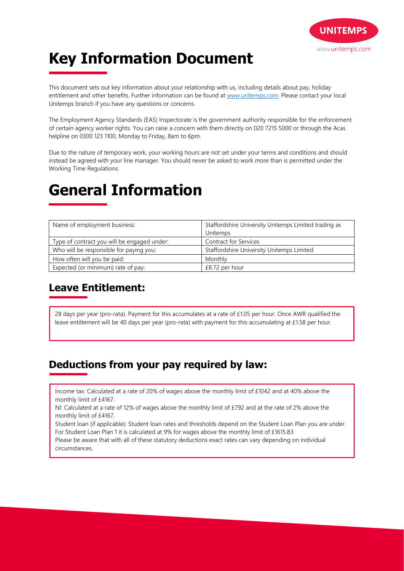

# **Key Information Document**

This document sets out key information about your relationship with us, including details about pay, holiday entitlement and other benefits. Further information can be found at www.unitemps.com. Please contact your local Unitemps branch if you have any questions or concerns.

The Employment Agency Standards (EAS) Inspectorate is the government authority responsible for the enforcement of certain agency worker rights. You can raise a concern with them directly on 020 7215 5000 or through the Acas helpline on 0300 123 1100, Monday to Friday, 8am to 6pm.

Due to the nature of temporary work, your working hours are not set under your terms and conditions and should instead be agreed with your line manager. You should never be asked to work more than is permitted under the Working Time Regulations.

## **General Information**

| Name of employment business:                | Staffordshire University Unitemps Limited trading as |
|---------------------------------------------|------------------------------------------------------|
|                                             | Unitemps                                             |
| Type of contract you will be engaged under: | <b>Contract for Services</b>                         |
| Who will be responsible for paying you:     | Staffordshire University Unitemps Limited            |
| How often will you be paid:                 | Monthly                                              |
| Expected (or minimum) rate of pay:          | £8.72 per hour                                       |

#### **Leave Entitlement:**

28 days per year (pro-rata). Payment for this accumulates at a rate of £1.05 per hour. Once AWR qualified the leave entitlement will be 40 days per year (pro-rata) with payment for this accumulating at £1.58 per hour.

#### **Deductions from your pay required by law:**

Income tax: Calculated at a rate of 20% of wages above the monthly limit of £1042 and at 40% above the monthly limit of £4167.

NI: Calculated at a rate of 12% of wages above the monthly limit of £792 and at the rate of 2% above the monthly limit of £4167.

Student loan (if applicable): Student loan rates and thresholds depend on the Student Loan Plan you are under. For Student Loan Plan 1 it is calculated at 9% for wages above the monthly limit of £1615.83

Please be aware that with all of these statutory deductions exact rates can vary depending on individual circumstances.